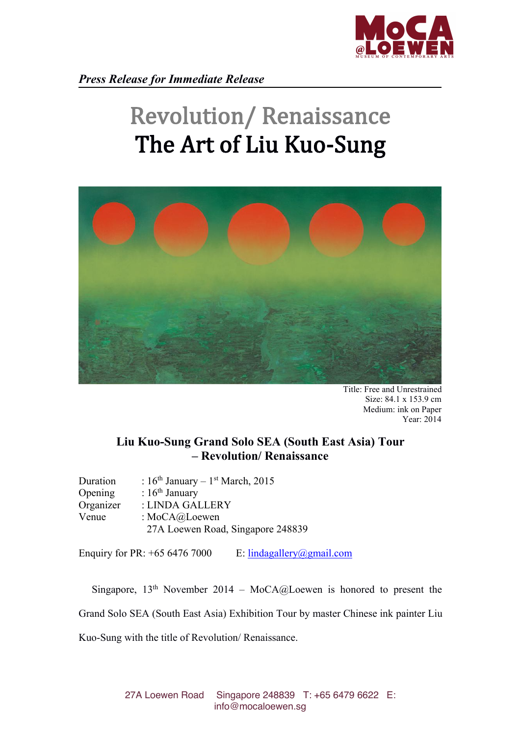

## Revolution/ Renaissance The Art of Liu Kuo-Sung



Title: Free and Unrestrained Size: 84.1 x 153.9 cm Medium: ink on Paper Year: 2014

## **Liu Kuo-Sung Grand Solo SEA (South East Asia) Tour – Revolution/ Renaissance**

| Duration  | : $16th$ January – $1st$ March, 2015 |  |
|-----------|--------------------------------------|--|
| Opening   | : $16th$ January                     |  |
| Organizer | : LINDA GALLERY                      |  |
| Venue     | : $MoCA@Loewen$                      |  |
|           | 27A Loewen Road, Singapore 248839    |  |

Enquiry for PR:  $+65\,6476\,7000$  E: [lindagallery@gmail.com](mailto:info@mocaloewen.sg)

Singapore,  $13<sup>th</sup>$  November 2014 – MoCA@Loewen is honored to present the Grand Solo SEA (South East Asia) Exhibition Tour by master Chinese ink painter Liu Kuo-Sung with the title of Revolution/ Renaissance.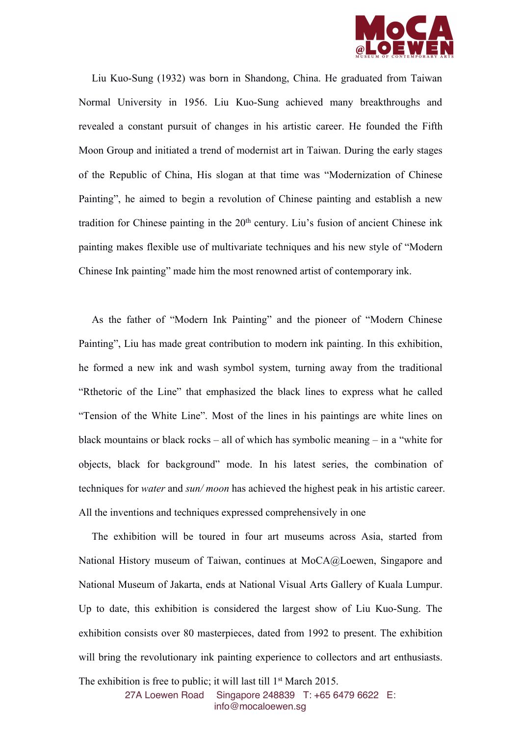

Liu Kuo-Sung (1932) was born in Shandong, China. He graduated from Taiwan Normal University in 1956. Liu Kuo-Sung achieved many breakthroughs and revealed a constant pursuit of changes in his artistic career. He founded the Fifth Moon Group and initiated a trend of modernist art in Taiwan. During the early stages of the Republic of China, His slogan at that time was "Modernization of Chinese Painting", he aimed to begin a revolution of Chinese painting and establish a new tradition for Chinese painting in the 20<sup>th</sup> century. Liu's fusion of ancient Chinese ink painting makes flexible use of multivariate techniques and his new style of "Modern Chinese Ink painting" made him the most renowned artist of contemporary ink.

As the father of "Modern Ink Painting" and the pioneer of "Modern Chinese Painting", Liu has made great contribution to modern ink painting. In this exhibition, he formed a new ink and wash symbol system, turning away from the traditional "Rthetoric of the Line" that emphasized the black lines to express what he called "Tension of the White Line". Most of the lines in his paintings are white lines on black mountains or black rocks – all of which has symbolic meaning – in a "white for objects, black for background" mode. In his latest series, the combination of techniques for *water* and *sun/moon* has achieved the highest peak in his artistic career. All the inventions and techniques expressed comprehensively in one

The exhibition will be toured in four art museums across Asia, started from National History museum of Taiwan, continues at MoCA@Loewen, Singapore and National Museum of Jakarta, ends at National Visual Arts Gallery of Kuala Lumpur. Up to date, this exhibition is considered the largest show of Liu Kuo-Sung. The exhibition consists over 80 masterpieces, dated from 1992 to present. The exhibition will bring the revolutionary ink painting experience to collectors and art enthusiasts.

The exhibition is free to public; it will last till 1 st March 2015.

27A Loewen Road Singapore 248839 T:+65 6479 6622 E: [info@mocaloewen.sg](mailto:info@mocaloewen.sg)